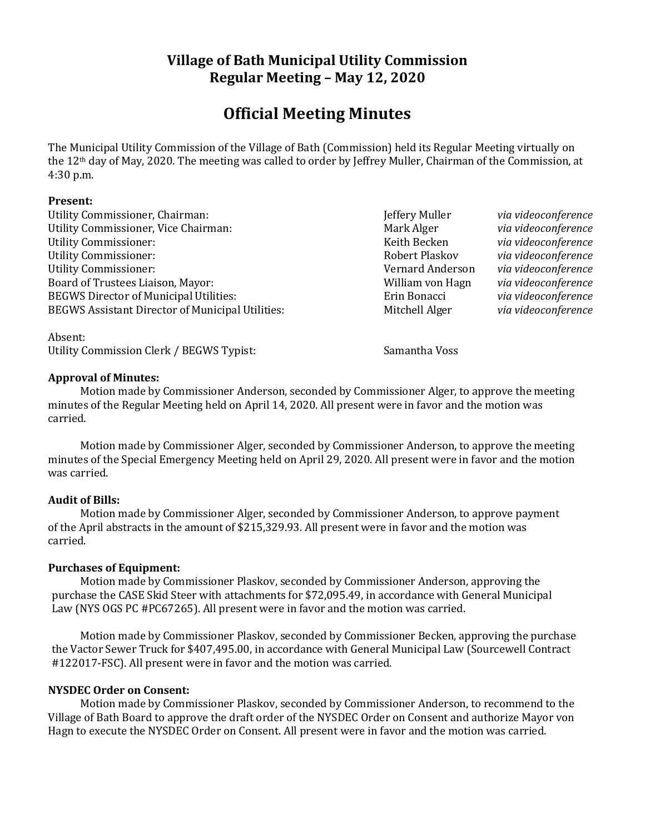## **Village of Bath Municipal Utility Commission Regular Meeting – May 12, 2020**

# **Official Meeting Minutes**

The Municipal Utility Commission of the Village of Bath (Commission) held its Regular Meeting virtually on the 12th day of May, 2020. The meeting was called to order by Jeffrey Muller, Chairman of the Commission, at 4:30 p.m.

#### **Present:**

Utility Commissioner, Chairman:  $\qquad \qquad$  **Jeffery Muller** *via videoconference* Utility Commissioner, Vice Chairman: Mark Alger *Mark Alger via videoconference* Utility Commissioner: Keith Becken *via videoconference* Utility Commissioner: Robert Plaskov *via videoconference* Utility Commissioner: Vernard Anderson *via videoconference* Board of Trustees Liaison, Mayor: William von Hagn *via videoconference* BEGWS Director of Municipal Utilities: Erin Bonacci *via videoconference* BEGWS Assistant Director of Municipal Utilities: Mitchell Alger *via videoconference* 

Absent: Utility Commission Clerk / BEGWS Typist: Samantha Voss

#### **Approval of Minutes:**

Motion made by Commissioner Anderson, seconded by Commissioner Alger, to approve the meeting minutes of the Regular Meeting held on April 14, 2020. All present were in favor and the motion was carried.

Motion made by Commissioner Alger, seconded by Commissioner Anderson, to approve the meeting minutes of the Special Emergency Meeting held on April 29, 2020. All present were in favor and the motion was carried.

### **Audit of Bills:**

Motion made by Commissioner Alger, seconded by Commissioner Anderson, to approve payment of the April abstracts in the amount of \$215,329.93. All present were in favor and the motion was carried.

#### **Purchases of Equipment:**

Motion made by Commissioner Plaskov, seconded by Commissioner Anderson, approving the purchase the CASE Skid Steer with attachments for \$72,095.49, in accordance with General Municipal Law (NYS OGS PC #PC67265). All present were in favor and the motion was carried.

Motion made by Commissioner Plaskov, seconded by Commissioner Becken, approving the purchase the Vactor Sewer Truck for \$407,495.00, in accordance with General Municipal Law (Sourcewell Contract #122017-FSC). All present were in favor and the motion was carried.

#### **NYSDEC Order on Consent:**

Motion made by Commissioner Plaskov, seconded by Commissioner Anderson, to recommend to the Village of Bath Board to approve the draft order of the NYSDEC Order on Consent and authorize Mayor von Hagn to execute the NYSDEC Order on Consent. All present were in favor and the motion was carried.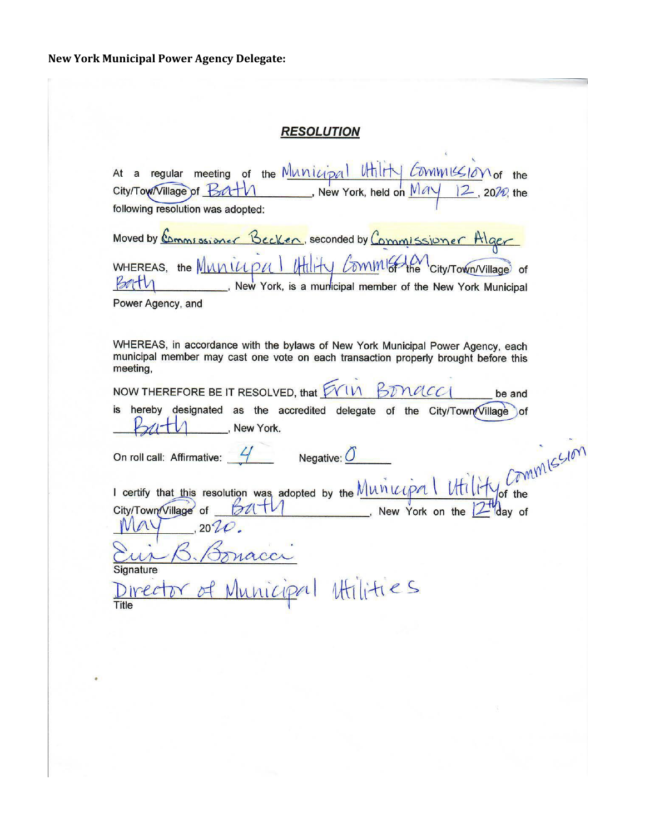# **RESOLUTION**

| At a regular meeting of the Municipal Utility Commussion of the City/Town/Village of Battle Municipal Work, held on $\frac{May}{12}$ , 2010, the                                                                                                                                                             |
|--------------------------------------------------------------------------------------------------------------------------------------------------------------------------------------------------------------------------------------------------------------------------------------------------------------|
| following resolution was adopted:                                                                                                                                                                                                                                                                            |
| Moved by Commissioner Becken, seconded by Commissioner Higer                                                                                                                                                                                                                                                 |
| WHEREAS, the Municipal Hility Commission City/Town/Village of<br>B<br>New York, is a municipal member of the New York Municipal                                                                                                                                                                              |
| Power Agency, and                                                                                                                                                                                                                                                                                            |
|                                                                                                                                                                                                                                                                                                              |
| WHEREAS, in accordance with the bylaws of New York Municipal Power Agency, each<br>municipal member may cast one vote on each transaction properly brought before this<br>meeting,                                                                                                                           |
| NOW THEREFORE BE IT RESOLVED, that $\cancel{\text{FWM}}$ BD nach<br>be and                                                                                                                                                                                                                                   |
| is hereby designated as the accredited delegate of the City/Town/Village of<br>New York.                                                                                                                                                                                                                     |
| I certify that this resolution was adopted by the $\frac{M\nu\dot{\nu}\nu\rho\alpha \cdot M\n}{M\nu\dot{\nu}\rho\alpha}$ (TMM $\frac{G\nu\dot{\nu}}{M\nu\dot{\nu}\nu\rho\alpha}$ , New York on the $2\theta\alpha$ of $M\nu\gamma$ , $\frac{M\nu\dot{\nu}\nu}{M\nu\alpha}$ , New York on the $2\theta\alpha$ |
|                                                                                                                                                                                                                                                                                                              |
|                                                                                                                                                                                                                                                                                                              |
|                                                                                                                                                                                                                                                                                                              |
| Signature                                                                                                                                                                                                                                                                                                    |
| Director of Municipal Hilities<br>Title                                                                                                                                                                                                                                                                      |
|                                                                                                                                                                                                                                                                                                              |
|                                                                                                                                                                                                                                                                                                              |